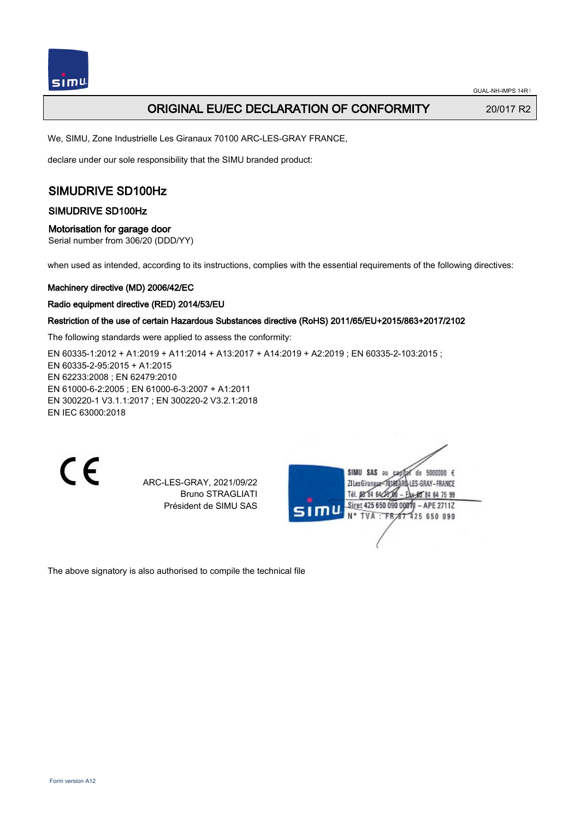

## ORIGINAL EU/EC DECLARATION OF CONFORMITY 20/017 R2

We, SIMU, Zone Industrielle Les Giranaux 70100 ARC-LES-GRAY FRANCE,

declare under our sole responsibility that the SIMU branded product:

# SIMUDRIVE SD100Hz

## SIMUDRIVE SD100Hz

#### Motorisation for garage door

Serial number from 306/20 (DDD/YY)

when used as intended, according to its instructions, complies with the essential requirements of the following directives:

#### Machinery directive (MD) 2006/42/EC

#### Radio equipment directive (RED) 2014/53/EU

## Restriction of the use of certain Hazardous Substances directive (RoHS) 2011/65/EU+2015/863+2017/2102

The following standards were applied to assess the conformity:

EN 60335-1:2012 + A1:2019 + A11:2014 + A13:2017 + A14:2019 + A2:2019 ; EN 60335-2-103:2015 ; EN 60335‑2‑95:2015 + A1:2015 EN 62233:2008 ; EN 62479:2010 EN 61000‑6‑2:2005 ; EN 61000‑6‑3:2007 + A1:2011 EN 300220‑1 V3.1.1:2017 ; EN 300220‑2 V3.2.1:2018 EN IEC 63000:2018

 $\epsilon$ 

ARC-LES-GRAY, 2021/09/22 Bruno STRAGLIATI Président de SIMU SAS

| SIMU SAS au<br>de 5000000 $\epsilon$<br>180ARD-LES-GRAY-FRANCE<br>ZI Les GiranauxTél. 08 84 64 28 00<br>- Eax-95 84 64 75 99 |
|------------------------------------------------------------------------------------------------------------------------------|
| Siret 425 650 090 00811 - APE 2711Z<br>sımu<br>N° TVA : FR 67 425 650 090                                                    |
|                                                                                                                              |

The above signatory is also authorised to compile the technical file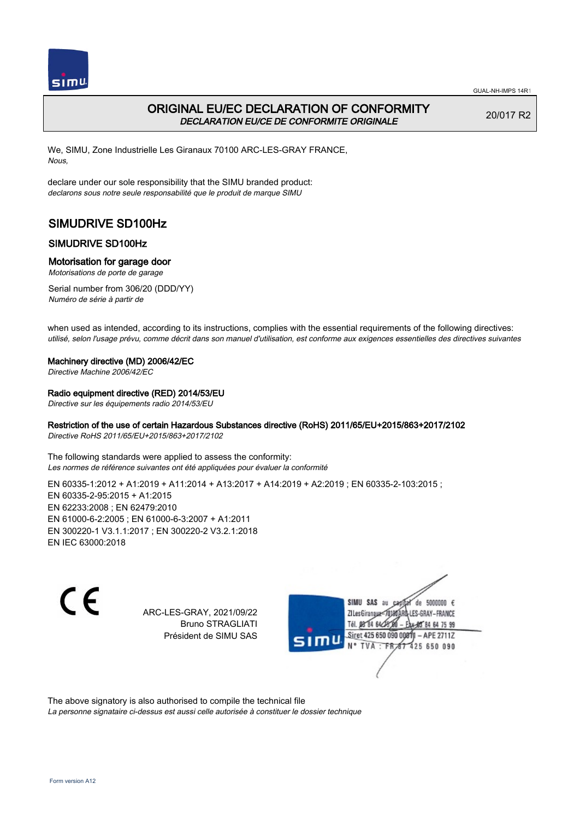

## ORIGINAL EU/EC DECLARATION OF CONFORMITY DECLARATION EU/CE DE CONFORMITE ORIGINALE

20/017 R2

We, SIMU, Zone Industrielle Les Giranaux 70100 ARC-LES-GRAY FRANCE, Nous,

declare under our sole responsibility that the SIMU branded product: declarons sous notre seule responsabilité que le produit de marque SIMU

# SIMUDRIVE SD100Hz

## SIMUDRIVE SD100Hz

## Motorisation for garage door

Motorisations de porte de garage

Serial number from 306/20 (DDD/YY) Numéro de série à partir de

when used as intended, according to its instructions, complies with the essential requirements of the following directives: utilisé, selon l'usage prévu, comme décrit dans son manuel d'utilisation, est conforme aux exigences essentielles des directives suivantes

### Machinery directive (MD) 2006/42/EC

Directive Machine 2006/42/EC

## Radio equipment directive (RED) 2014/53/EU

Directive sur les équipements radio 2014/53/EU

## Restriction of the use of certain Hazardous Substances directive (RoHS) 2011/65/EU+2015/863+2017/2102

Directive RoHS 2011/65/EU+2015/863+2017/2102

The following standards were applied to assess the conformity: Les normes de référence suivantes ont été appliquées pour évaluer la conformité

EN 60335-1:2012 + A1:2019 + A11:2014 + A13:2017 + A14:2019 + A2:2019 ; EN 60335-2-103:2015 ; EN 60335‑2‑95:2015 + A1:2015 EN 62233:2008 ; EN 62479:2010 EN 61000‑6‑2:2005 ; EN 61000‑6‑3:2007 + A1:2011 EN 300220‑1 V3.1.1:2017 ; EN 300220‑2 V3.2.1:2018 EN IEC 63000:2018

 $\epsilon$ 

ARC-LES-GRAY, 2021/09/22 Bruno STRAGLIATI Président de SIMU SAS



The above signatory is also authorised to compile the technical file

La personne signataire ci-dessus est aussi celle autorisée à constituer le dossier technique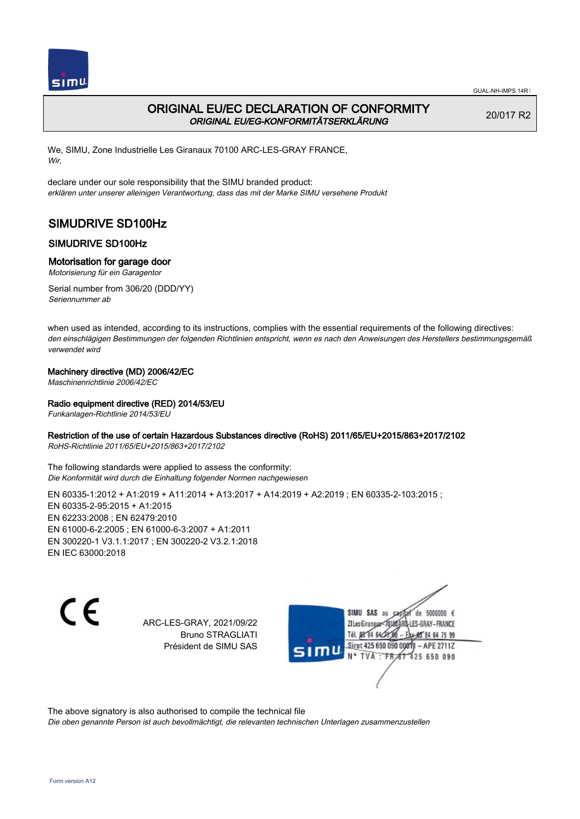

## ORIGINAL EU/EC DECLARATION OF CONFORMITY ORIGINAL EU/EG-KONFORMITÄTSERKLÄRUNG

20/017 R2

We, SIMU, Zone Industrielle Les Giranaux 70100 ARC-LES-GRAY FRANCE, Wir,

declare under our sole responsibility that the SIMU branded product: erklären unter unserer alleinigen Verantwortung, dass das mit der Marke SIMU versehene Produkt

# SIMUDRIVE SD100Hz

## SIMUDRIVE SD100Hz

### Motorisation for garage door

Motorisierung für ein Garagentor

Serial number from 306/20 (DDD/YY) Seriennummer ab

when used as intended, according to its instructions, complies with the essential requirements of the following directives: den einschlägigen Bestimmungen der folgenden Richtlinien entspricht, wenn es nach den Anweisungen des Herstellers bestimmungsgemäß verwendet wird

### Machinery directive (MD) 2006/42/EC

Maschinenrichtlinie 2006/42/EC

### Radio equipment directive (RED) 2014/53/EU

Funkanlagen-Richtlinie 2014/53/EU

### Restriction of the use of certain Hazardous Substances directive (RoHS) 2011/65/EU+2015/863+2017/2102

RoHS-Richtlinie 2011/65/EU+2015/863+2017/2102

The following standards were applied to assess the conformity: Die Konformität wird durch die Einhaltung folgender Normen nachgewiesen

EN 60335-1:2012 + A1:2019 + A11:2014 + A13:2017 + A14:2019 + A2:2019 ; EN 60335-2-103:2015 ; EN 60335‑2‑95:2015 + A1:2015 EN 62233:2008 ; EN 62479:2010 EN 61000‑6‑2:2005 ; EN 61000‑6‑3:2007 + A1:2011 EN 300220‑1 V3.1.1:2017 ; EN 300220‑2 V3.2.1:2018 EN IEC 63000:2018

C E

ARC-LES-GRAY, 2021/09/22 Bruno STRAGLIATI Président de SIMU SAS

de 5000000  $\epsilon$ SIMU SAS au ZI Les Giranaux</br/>1018 LES-GRAY-FRANCE Tél. 08 84 64 24 64 75 99 Siret 425 650 090 0001 - APE 2711Z 425 650 090 **TVA:FR** 

The above signatory is also authorised to compile the technical file

Die oben genannte Person ist auch bevollmächtigt, die relevanten technischen Unterlagen zusammenzustellen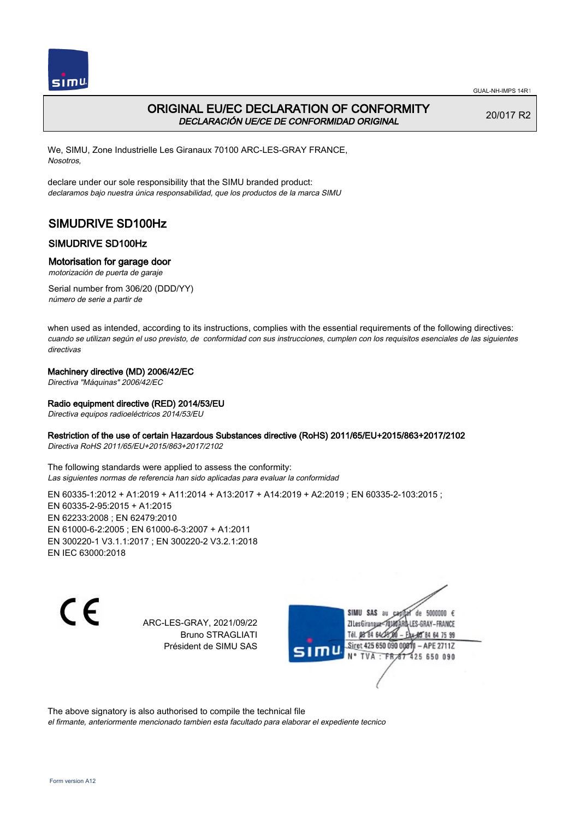

## ORIGINAL EU/EC DECLARATION OF CONFORMITY DECLARACIÓN UE/CE DE CONFORMIDAD ORIGINAL

20/017 R2

We, SIMU, Zone Industrielle Les Giranaux 70100 ARC-LES-GRAY FRANCE, Nosotros,

declare under our sole responsibility that the SIMU branded product: declaramos bajo nuestra única responsabilidad, que los productos de la marca SIMU

# SIMUDRIVE SD100Hz

## SIMUDRIVE SD100Hz

## Motorisation for garage door

motorización de puerta de garaje

Serial number from 306/20 (DDD/YY) número de serie a partir de

when used as intended, according to its instructions, complies with the essential requirements of the following directives: cuando se utilizan según el uso previsto, de conformidad con sus instrucciones, cumplen con los requisitos esenciales de las siguientes directivas

## Machinery directive (MD) 2006/42/EC

Directiva "Máquinas" 2006/42/EC

## Radio equipment directive (RED) 2014/53/EU

Directiva equipos radioeléctricos 2014/53/EU

### Restriction of the use of certain Hazardous Substances directive (RoHS) 2011/65/EU+2015/863+2017/2102

Directiva RoHS 2011/65/EU+2015/863+2017/2102

The following standards were applied to assess the conformity: Las siguientes normas de referencia han sido aplicadas para evaluar la conformidad

EN 60335‑1:2012 + A1:2019 + A11:2014 + A13:2017 + A14:2019 + A2:2019 ; EN 60335‑2‑103:2015 ; EN 60335‑2‑95:2015 + A1:2015 EN 62233:2008 ; EN 62479:2010 EN 61000‑6‑2:2005 ; EN 61000‑6‑3:2007 + A1:2011 EN 300220‑1 V3.1.1:2017 ; EN 300220‑2 V3.2.1:2018 EN IEC 63000:2018

C E

ARC-LES-GRAY, 2021/09/22 Bruno STRAGLIATI Président de SIMU SAS

SIMU SAS au de 5000000  $\epsilon$ ZI Les Giranaux-70180 LES-GRAY-FRANCE Tél. 08 84 64 24 64 75 99 Siret 425 650 090 0081) - APE 2711Z 425 650 090 TVA: FR

The above signatory is also authorised to compile the technical file

el firmante, anteriormente mencionado tambien esta facultado para elaborar el expediente tecnico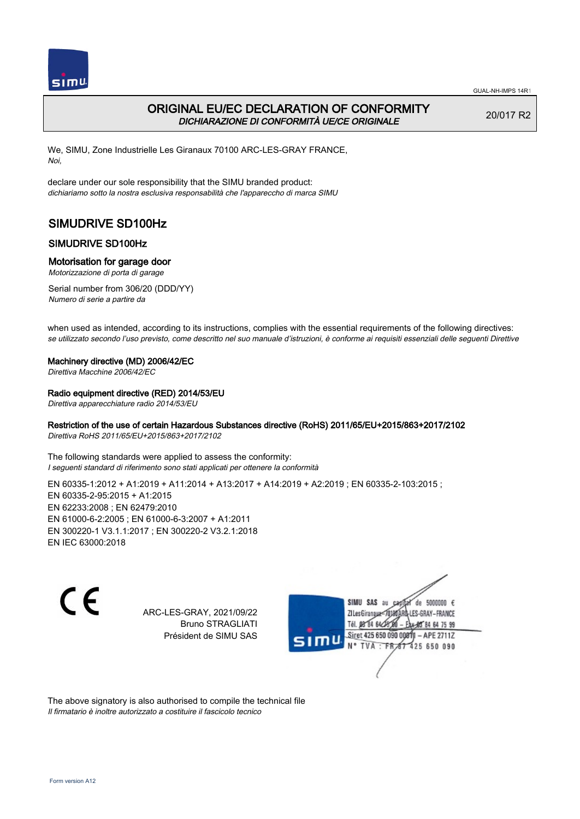

## ORIGINAL EU/EC DECLARATION OF CONFORMITY DICHIARAZIONE DI CONFORMITÀ UE/CE ORIGINALE

20/017 R2

We, SIMU, Zone Industrielle Les Giranaux 70100 ARC-LES-GRAY FRANCE, Noi,

declare under our sole responsibility that the SIMU branded product: dichiariamo sotto la nostra esclusiva responsabilità che l'appareccho di marca SIMU

# SIMUDRIVE SD100Hz

## SIMUDRIVE SD100Hz

## Motorisation for garage door

Motorizzazione di porta di garage

Serial number from 306/20 (DDD/YY) Numero di serie a partire da

when used as intended, according to its instructions, complies with the essential requirements of the following directives: se utilizzato secondo l'uso previsto, come descritto nel suo manuale d'istruzioni, è conforme ai requisiti essenziali delle seguenti Direttive

### Machinery directive (MD) 2006/42/EC

Direttiva Macchine 2006/42/EC

### Radio equipment directive (RED) 2014/53/EU

Direttiva apparecchiature radio 2014/53/EU

## Restriction of the use of certain Hazardous Substances directive (RoHS) 2011/65/EU+2015/863+2017/2102

Direttiva RoHS 2011/65/EU+2015/863+2017/2102

The following standards were applied to assess the conformity: I seguenti standard di riferimento sono stati applicati per ottenere la conformità

EN 60335-1:2012 + A1:2019 + A11:2014 + A13:2017 + A14:2019 + A2:2019 ; EN 60335-2-103:2015 ; EN 60335‑2‑95:2015 + A1:2015 EN 62233:2008 ; EN 62479:2010 EN 61000‑6‑2:2005 ; EN 61000‑6‑3:2007 + A1:2011 EN 300220‑1 V3.1.1:2017 ; EN 300220‑2 V3.2.1:2018 EN IEC 63000:2018

 $\epsilon$ 

ARC-LES-GRAY, 2021/09/22 Bruno STRAGLIATI Président de SIMU SAS



The above signatory is also authorised to compile the technical file Il firmatario è inoltre autorizzato a costituire il fascicolo tecnico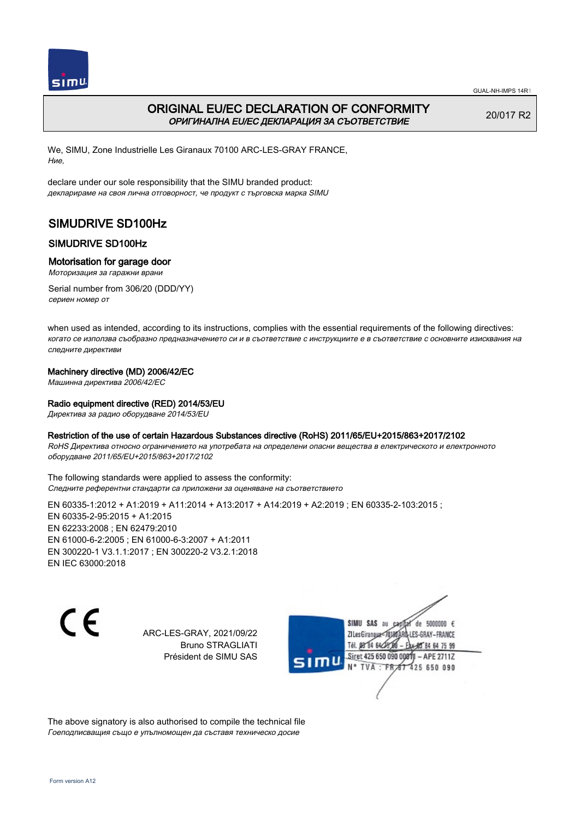

# ORIGINAL EU/EC DECLARATION OF CONFORMITY ОРИГИНАЛНА EU/EC ДЕКЛАРАЦИЯ ЗА СЪОТВЕТСТВИЕ

20/017 R2

We, SIMU, Zone Industrielle Les Giranaux 70100 ARC-LES-GRAY FRANCE, Ние,

declare under our sole responsibility that the SIMU branded product: декларираме на своя лична отговорност, че продукт с търговска марка SIMU

# SIMUDRIVE SD100Hz

## SIMUDRIVE SD100Hz

### Motorisation for garage door

Моторизация за гаражни врани

Serial number from 306/20 (DDD/YY) сериен номер от

when used as intended, according to its instructions, complies with the essential requirements of the following directives: когато се използва съобразно предназначението си и в съответствие с инструкциите е в съответствие с основните изисквания на следните директиви

### Machinery directive (MD) 2006/42/EC

Машинна директива 2006/42/EC

### Radio equipment directive (RED) 2014/53/EU

Директива за радио оборудване 2014/53/EU

#### Restriction of the use of certain Hazardous Substances directive (RoHS) 2011/65/EU+2015/863+2017/2102

RoHS Директива относно ограничението на употребата на определени опасни вещества в електрическото и електронното оборудване 2011/65/EU+2015/863+2017/2102

The following standards were applied to assess the conformity: Следните референтни стандарти са приложени за оценяване на съответствието

EN 60335‑1:2012 + A1:2019 + A11:2014 + A13:2017 + A14:2019 + A2:2019 ; EN 60335‑2‑103:2015 ; EN 60335‑2‑95:2015 + A1:2015 EN 62233:2008 ; EN 62479:2010 EN 61000‑6‑2:2005 ; EN 61000‑6‑3:2007 + A1:2011 EN 300220‑1 V3.1.1:2017 ; EN 300220‑2 V3.2.1:2018 EN IEC 63000:2018



ARC-LES-GRAY, 2021/09/22 Bruno STRAGLIATI Président de SIMU SAS



The above signatory is also authorised to compile the technical file Гоеподписващия също е упълномощен да съставя техническо досие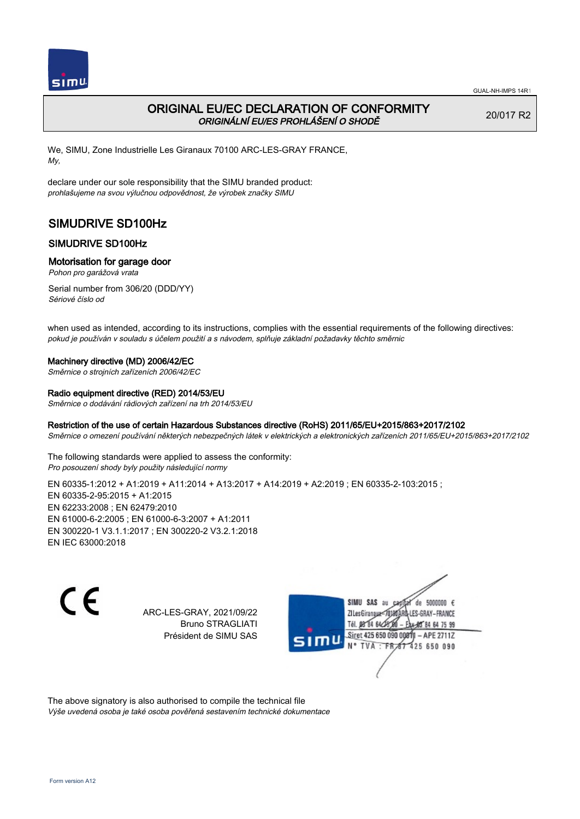

## ORIGINAL EU/EC DECLARATION OF CONFORMITY ORIGINÁLNÍ EU/ES PROHLÁŠENÍ O SHODĚ

20/017 R2

We, SIMU, Zone Industrielle Les Giranaux 70100 ARC-LES-GRAY FRANCE, My,

declare under our sole responsibility that the SIMU branded product: prohlašujeme na svou výlučnou odpovědnost, že výrobek značky SIMU

# SIMUDRIVE SD100Hz

## SIMUDRIVE SD100Hz

### Motorisation for garage door

Pohon pro garážová vrata

Serial number from 306/20 (DDD/YY) Sériové číslo od

when used as intended, according to its instructions, complies with the essential requirements of the following directives: pokud je používán v souladu s účelem použití a s návodem, splňuje základní požadavky těchto směrnic

#### Machinery directive (MD) 2006/42/EC

Směrnice o strojních zařízeních 2006/42/EC

#### Radio equipment directive (RED) 2014/53/EU

Směrnice o dodávání rádiových zařízení na trh 2014/53/EU

### Restriction of the use of certain Hazardous Substances directive (RoHS) 2011/65/EU+2015/863+2017/2102

Směrnice o omezení používání některých nebezpečných látek v elektrických a elektronických zařízeních 2011/65/EU+2015/863+2017/2102

The following standards were applied to assess the conformity: Pro posouzení shody byly použity následující normy

EN 60335‑1:2012 + A1:2019 + A11:2014 + A13:2017 + A14:2019 + A2:2019 ; EN 60335‑2‑103:2015 ; EN 60335‑2‑95:2015 + A1:2015 EN 62233:2008 ; EN 62479:2010 EN 61000‑6‑2:2005 ; EN 61000‑6‑3:2007 + A1:2011 EN 300220‑1 V3.1.1:2017 ; EN 300220‑2 V3.2.1:2018 EN IEC 63000:2018

 $\epsilon$ 

ARC-LES-GRAY, 2021/09/22 Bruno STRAGLIATI Président de SIMU SAS



The above signatory is also authorised to compile the technical file Výše uvedená osoba je také osoba pověřená sestavením technické dokumentace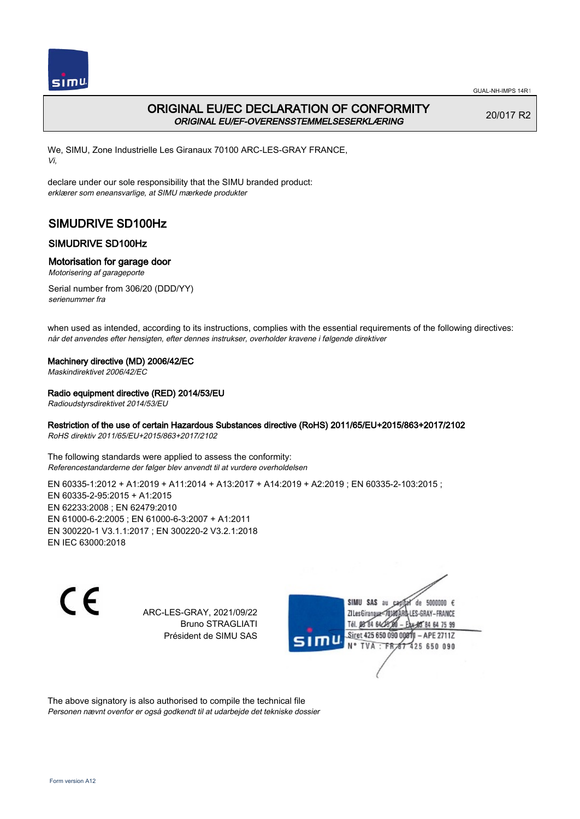

## ORIGINAL EU/EC DECLARATION OF CONFORMITY ORIGINAL EU/EF-OVERENSSTEMMELSESERKLÆRING

20/017 R2

We, SIMU, Zone Industrielle Les Giranaux 70100 ARC-LES-GRAY FRANCE, Vi,

declare under our sole responsibility that the SIMU branded product: erklærer som eneansvarlige, at SIMU mærkede produkter

# SIMUDRIVE SD100Hz

## SIMUDRIVE SD100Hz

### Motorisation for garage door

Motorisering af garageporte

Serial number from 306/20 (DDD/YY) serienummer fra

when used as intended, according to its instructions, complies with the essential requirements of the following directives: når det anvendes efter hensigten, efter dennes instrukser, overholder kravene i følgende direktiver

#### Machinery directive (MD) 2006/42/EC

Maskindirektivet 2006/42/EC

### Radio equipment directive (RED) 2014/53/EU

Radioudstyrsdirektivet 2014/53/EU

## Restriction of the use of certain Hazardous Substances directive (RoHS) 2011/65/EU+2015/863+2017/2102

RoHS direktiv 2011/65/EU+2015/863+2017/2102

The following standards were applied to assess the conformity: Referencestandarderne der følger blev anvendt til at vurdere overholdelsen

EN 60335-1:2012 + A1:2019 + A11:2014 + A13:2017 + A14:2019 + A2:2019 ; EN 60335-2-103:2015 ; EN 60335‑2‑95:2015 + A1:2015 EN 62233:2008 ; EN 62479:2010 EN 61000‑6‑2:2005 ; EN 61000‑6‑3:2007 + A1:2011 EN 300220‑1 V3.1.1:2017 ; EN 300220‑2 V3.2.1:2018 EN IEC 63000:2018

 $\epsilon$ 

ARC-LES-GRAY, 2021/09/22 Bruno STRAGLIATI Président de SIMU SAS



The above signatory is also authorised to compile the technical file Personen nævnt ovenfor er også godkendt til at udarbejde det tekniske dossier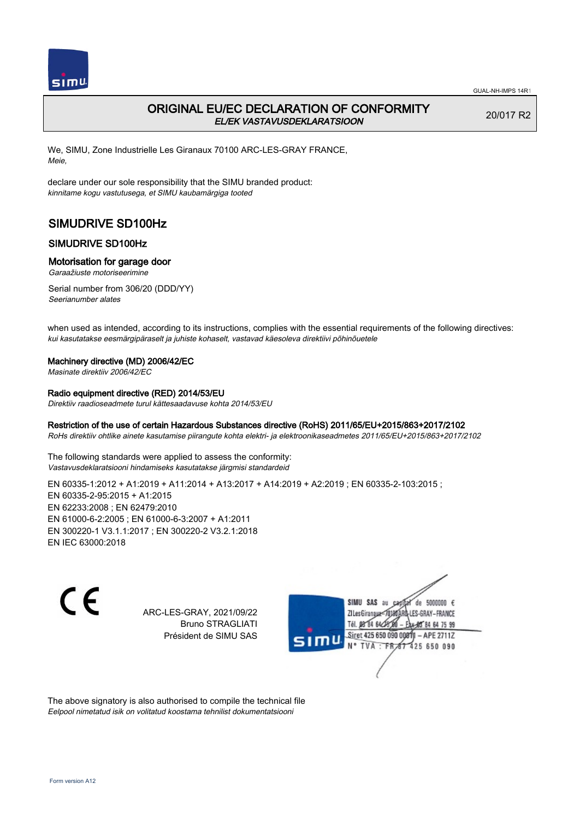

# ORIGINAL EU/EC DECLARATION OF CONFORMITY EL/EK VASTAVUSDEKLARATSIOON

20/017 R2

We, SIMU, Zone Industrielle Les Giranaux 70100 ARC-LES-GRAY FRANCE, Meie,

declare under our sole responsibility that the SIMU branded product: kinnitame kogu vastutusega, et SIMU kaubamärgiga tooted

# SIMUDRIVE SD100Hz

## SIMUDRIVE SD100Hz

### Motorisation for garage door

Garaažiuste motoriseerimine

Serial number from 306/20 (DDD/YY) Seerianumber alates

when used as intended, according to its instructions, complies with the essential requirements of the following directives: kui kasutatakse eesmärgipäraselt ja juhiste kohaselt, vastavad käesoleva direktiivi põhinõuetele

#### Machinery directive (MD) 2006/42/EC

Masinate direktiiv 2006/42/EC

## Radio equipment directive (RED) 2014/53/EU

Direktiiv raadioseadmete turul kättesaadavuse kohta 2014/53/EU

### Restriction of the use of certain Hazardous Substances directive (RoHS) 2011/65/EU+2015/863+2017/2102

RoHs direktiiv ohtlike ainete kasutamise piirangute kohta elektri- ja elektroonikaseadmetes 2011/65/EU+2015/863+2017/2102

The following standards were applied to assess the conformity: Vastavusdeklaratsiooni hindamiseks kasutatakse järgmisi standardeid

EN 60335‑1:2012 + A1:2019 + A11:2014 + A13:2017 + A14:2019 + A2:2019 ; EN 60335‑2‑103:2015 ; EN 60335‑2‑95:2015 + A1:2015 EN 62233:2008 ; EN 62479:2010 EN 61000‑6‑2:2005 ; EN 61000‑6‑3:2007 + A1:2011 EN 300220‑1 V3.1.1:2017 ; EN 300220‑2 V3.2.1:2018 EN IEC 63000:2018

 $\epsilon$ 

ARC-LES-GRAY, 2021/09/22 Bruno STRAGLIATI Président de SIMU SAS



The above signatory is also authorised to compile the technical file Eelpool nimetatud isik on volitatud koostama tehnilist dokumentatsiooni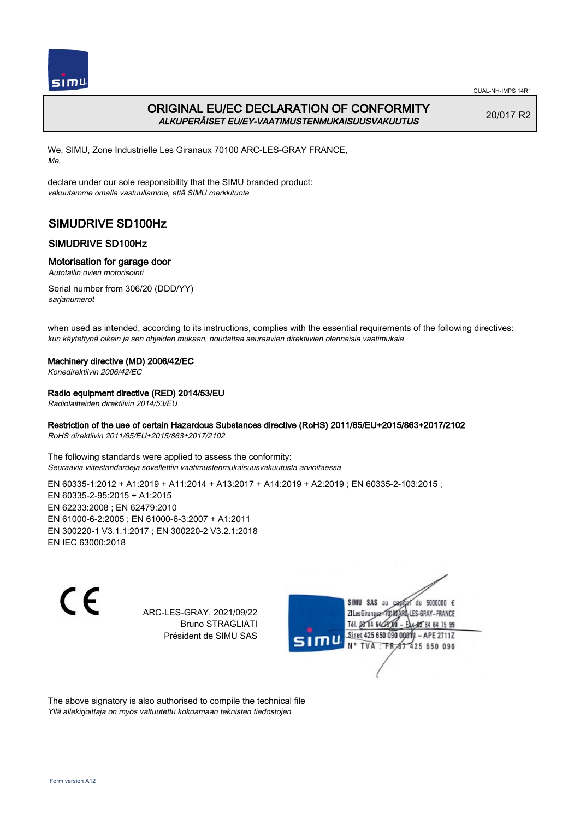

## ORIGINAL EU/EC DECLARATION OF CONFORMITY ALKUPERÄISET EU/EY-VAATIMUSTENMUKAISUUSVAKUUTUS

20/017 R2

We, SIMU, Zone Industrielle Les Giranaux 70100 ARC-LES-GRAY FRANCE, Me,

declare under our sole responsibility that the SIMU branded product: vakuutamme omalla vastuullamme, että SIMU merkkituote

# SIMUDRIVE SD100Hz

## SIMUDRIVE SD100Hz

### Motorisation for garage door

Autotallin ovien motorisointi

Serial number from 306/20 (DDD/YY) sarjanumerot

when used as intended, according to its instructions, complies with the essential requirements of the following directives: kun käytettynä oikein ja sen ohjeiden mukaan, noudattaa seuraavien direktiivien olennaisia vaatimuksia

### Machinery directive (MD) 2006/42/EC

Konedirektiivin 2006/42/EC

### Radio equipment directive (RED) 2014/53/EU

Radiolaitteiden direktiivin 2014/53/EU

## Restriction of the use of certain Hazardous Substances directive (RoHS) 2011/65/EU+2015/863+2017/2102

RoHS direktiivin 2011/65/EU+2015/863+2017/2102

The following standards were applied to assess the conformity: Seuraavia viitestandardeja sovellettiin vaatimustenmukaisuusvakuutusta arvioitaessa

EN 60335-1:2012 + A1:2019 + A11:2014 + A13:2017 + A14:2019 + A2:2019 ; EN 60335-2-103:2015 ; EN 60335‑2‑95:2015 + A1:2015 EN 62233:2008 ; EN 62479:2010 EN 61000‑6‑2:2005 ; EN 61000‑6‑3:2007 + A1:2011 EN 300220‑1 V3.1.1:2017 ; EN 300220‑2 V3.2.1:2018 EN IEC 63000:2018

 $\epsilon$ 

ARC-LES-GRAY, 2021/09/22 Bruno STRAGLIATI Président de SIMU SAS



The above signatory is also authorised to compile the technical file Yllä allekirjoittaja on myös valtuutettu kokoamaan teknisten tiedostojen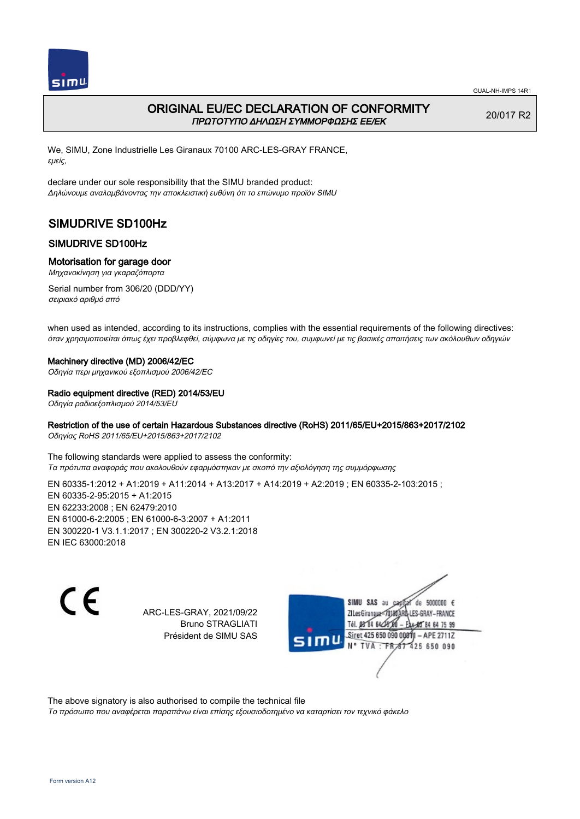

## ORIGINAL EU/EC DECLARATION OF CONFORMITY ΠΡΩΤΟΤΥΠΟ ΔΗΛΩΣΗ ΣΥΜΜΟΡΦΩΣΗΣ ΕΕ/EK

20/017 R2

We, SIMU, Zone Industrielle Les Giranaux 70100 ARC-LES-GRAY FRANCE, εμείς,

declare under our sole responsibility that the SIMU branded product: Δηλώνουμε αναλαμβάνοντας την αποκλειστική ευθύνη ότι το επώνυμο προϊόν SIMU

# SIMUDRIVE SD100Hz

## SIMUDRIVE SD100Hz

### Motorisation for garage door

Μηχανοκίνηση για γκαραζόπορτα

Serial number from 306/20 (DDD/YY) σειριακό αριθμό από

when used as intended, according to its instructions, complies with the essential requirements of the following directives: όταν χρησιμοποιείται όπως έχει προβλεφθεί, σύμφωνα με τις οδηγίες του, συμφωνεί με τις βασικές απαιτήσεις των ακόλουθων οδηγιών

#### Machinery directive (MD) 2006/42/EC

Οδηγία περι μηχανικού εξοπλισμού 2006/42/EC

#### Radio equipment directive (RED) 2014/53/EU

Οδηγία ραδιοεξοπλισμού 2014/53/EU

## Restriction of the use of certain Hazardous Substances directive (RoHS) 2011/65/EU+2015/863+2017/2102

Οδηγίας RoHS 2011/65/EU+2015/863+2017/2102

The following standards were applied to assess the conformity: Τα πρότυπα αναφοράς που ακολουθούν εφαρμόστηκαν με σκοπό την αξιολόγηση της συμμόρφωσης

EN 60335-1:2012 + A1:2019 + A11:2014 + A13:2017 + A14:2019 + A2:2019 ; EN 60335-2-103:2015 ; EN 60335‑2‑95:2015 + A1:2015 EN 62233:2008 ; EN 62479:2010 EN 61000‑6‑2:2005 ; EN 61000‑6‑3:2007 + A1:2011 EN 300220‑1 V3.1.1:2017 ; EN 300220‑2 V3.2.1:2018 EN IEC 63000:2018

C E

ARC-LES-GRAY, 2021/09/22 Bruno STRAGLIATI Président de SIMU SAS



The above signatory is also authorised to compile the technical file

Το πρόσωπο που αναφέρεται παραπάνω είναι επίσης εξουσιοδοτημένο να καταρτίσει τον τεχνικό φάκελο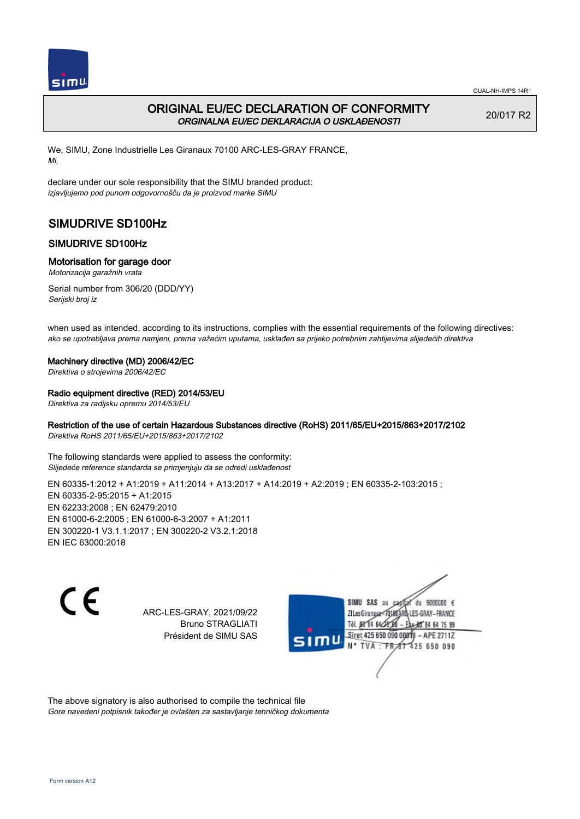

# ORIGINAL EU/EC DECLARATION OF CONFORMITY ORGINALNA EU/EC DEKLARACIJA O USKLAĐENOSTI

20/017 R2

We, SIMU, Zone Industrielle Les Giranaux 70100 ARC-LES-GRAY FRANCE, Mi,

declare under our sole responsibility that the SIMU branded product: izjavljujemo pod punom odgovornošču da je proizvod marke SIMU

# SIMUDRIVE SD100Hz

## SIMUDRIVE SD100Hz

### Motorisation for garage door

Motorizacija garažnih vrata

Serial number from 306/20 (DDD/YY) Serijski broj iz

when used as intended, according to its instructions, complies with the essential requirements of the following directives: ako se upotrebljava prema namjeni, prema važećim uputama, usklađen sa prijeko potrebnim zahtijevima slijedećih direktiva

#### Machinery directive (MD) 2006/42/EC

Direktiva o strojevima 2006/42/EC

### Radio equipment directive (RED) 2014/53/EU

Direktiva za radijsku opremu 2014/53/EU

## Restriction of the use of certain Hazardous Substances directive (RoHS) 2011/65/EU+2015/863+2017/2102

Direktiva RoHS 2011/65/EU+2015/863+2017/2102

The following standards were applied to assess the conformity: Slijedeće reference standarda se primjenjuju da se odredi usklađenost

EN 60335-1:2012 + A1:2019 + A11:2014 + A13:2017 + A14:2019 + A2:2019 ; EN 60335-2-103:2015 ; EN 60335‑2‑95:2015 + A1:2015 EN 62233:2008 ; EN 62479:2010 EN 61000‑6‑2:2005 ; EN 61000‑6‑3:2007 + A1:2011 EN 300220‑1 V3.1.1:2017 ; EN 300220‑2 V3.2.1:2018 EN IEC 63000:2018

 $\epsilon$ 

ARC-LES-GRAY, 2021/09/22 Bruno STRAGLIATI Président de SIMU SAS



The above signatory is also authorised to compile the technical file Gore navedeni potpisnik također je ovlašten za sastavljanje tehničkog dokumenta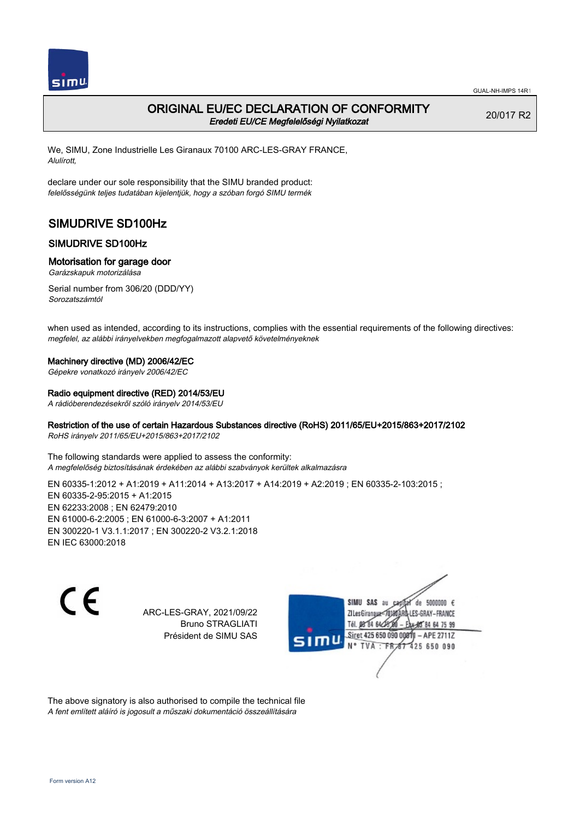

## ORIGINAL EU/EC DECLARATION OF CONFORMITY Eredeti EU/CE Megfelelőségi Nyilatkozat

20/017 R2

We, SIMU, Zone Industrielle Les Giranaux 70100 ARC-LES-GRAY FRANCE, Alulírott,

declare under our sole responsibility that the SIMU branded product: felelősségünk teljes tudatában kijelentjük, hogy a szóban forgó SIMU termék

# SIMUDRIVE SD100Hz

## SIMUDRIVE SD100Hz

## Motorisation for garage door

Garázskapuk motorizálása

Serial number from 306/20 (DDD/YY) Sorozatszámtól

when used as intended, according to its instructions, complies with the essential requirements of the following directives: megfelel, az alábbi irányelvekben megfogalmazott alapvető követelményeknek

### Machinery directive (MD) 2006/42/EC

Gépekre vonatkozó irányelv 2006/42/EC

### Radio equipment directive (RED) 2014/53/EU

A rádióberendezésekről szóló irányelv 2014/53/EU

## Restriction of the use of certain Hazardous Substances directive (RoHS) 2011/65/EU+2015/863+2017/2102

RoHS irányelv 2011/65/EU+2015/863+2017/2102

The following standards were applied to assess the conformity: A megfelelőség biztosításának érdekében az alábbi szabványok kerültek alkalmazásra

EN 60335-1:2012 + A1:2019 + A11:2014 + A13:2017 + A14:2019 + A2:2019 ; EN 60335-2-103:2015 ; EN 60335‑2‑95:2015 + A1:2015 EN 62233:2008 ; EN 62479:2010 EN 61000‑6‑2:2005 ; EN 61000‑6‑3:2007 + A1:2011 EN 300220‑1 V3.1.1:2017 ; EN 300220‑2 V3.2.1:2018 EN IEC 63000:2018

 $\epsilon$ 

ARC-LES-GRAY, 2021/09/22 Bruno STRAGLIATI Président de SIMU SAS



The above signatory is also authorised to compile the technical file A fent említett aláíró is jogosult a műszaki dokumentáció összeállítására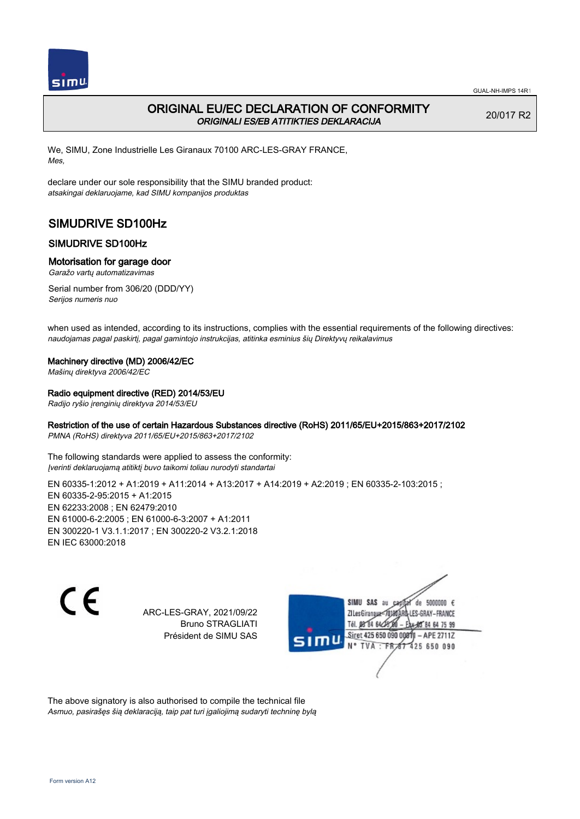

# ORIGINAL EU/EC DECLARATION OF CONFORMITY ORIGINALI ES/EB ATITIKTIES DEKLARACIJA

20/017 R2

We, SIMU, Zone Industrielle Les Giranaux 70100 ARC-LES-GRAY FRANCE, Mes,

declare under our sole responsibility that the SIMU branded product: atsakingai deklaruojame, kad SIMU kompanijos produktas

# SIMUDRIVE SD100Hz

## SIMUDRIVE SD100Hz

### Motorisation for garage door

Garažo vartų automatizavimas

Serial number from 306/20 (DDD/YY) Serijos numeris nuo

when used as intended, according to its instructions, complies with the essential requirements of the following directives: naudojamas pagal paskirtį, pagal gamintojo instrukcijas, atitinka esminius šių Direktyvų reikalavimus

### Machinery directive (MD) 2006/42/EC

Mašinų direktyva 2006/42/EC

### Radio equipment directive (RED) 2014/53/EU

Radijo ryšio įrenginių direktyva 2014/53/EU

## Restriction of the use of certain Hazardous Substances directive (RoHS) 2011/65/EU+2015/863+2017/2102

PMNA (RoHS) direktyva 2011/65/EU+2015/863+2017/2102

The following standards were applied to assess the conformity: Įverinti deklaruojamą atitiktį buvo taikomi toliau nurodyti standartai

EN 60335-1:2012 + A1:2019 + A11:2014 + A13:2017 + A14:2019 + A2:2019 ; EN 60335-2-103:2015 ; EN 60335‑2‑95:2015 + A1:2015 EN 62233:2008 ; EN 62479:2010 EN 61000‑6‑2:2005 ; EN 61000‑6‑3:2007 + A1:2011 EN 300220‑1 V3.1.1:2017 ; EN 300220‑2 V3.2.1:2018 EN IEC 63000:2018

 $\epsilon$ 

ARC-LES-GRAY, 2021/09/22 Bruno STRAGLIATI Président de SIMU SAS



The above signatory is also authorised to compile the technical file Asmuo, pasirašęs šią deklaraciją, taip pat turi įgaliojimą sudaryti techninę bylą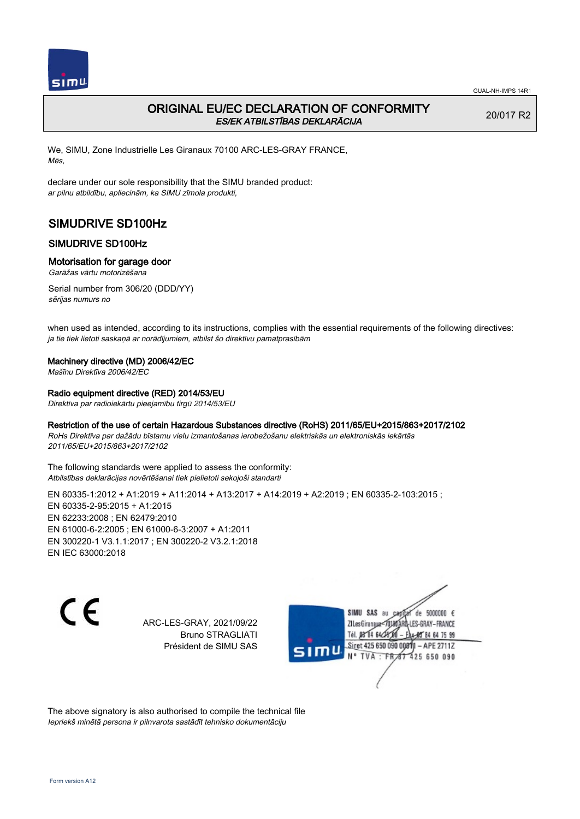

Mēs,

GUAL-NH-IMPS 14R1

20/017 R2

# ORIGINAL EU/EC DECLARATION OF CONFORMITY ES/EK ATBILSTĪBAS DEKLARĀCIJA

We, SIMU, Zone Industrielle Les Giranaux 70100 ARC-LES-GRAY FRANCE,

declare under our sole responsibility that the SIMU branded product: ar pilnu atbildību, apliecinām, ka SIMU zīmola produkti,

# SIMUDRIVE SD100Hz

## SIMUDRIVE SD100Hz

### Motorisation for garage door

Garāžas vārtu motorizēšana

Serial number from 306/20 (DDD/YY) sērijas numurs no

when used as intended, according to its instructions, complies with the essential requirements of the following directives: ja tie tiek lietoti saskaņā ar norādījumiem, atbilst šo direktīvu pamatprasībām

#### Machinery directive (MD) 2006/42/EC

Mašīnu Direktīva 2006/42/EC

#### Radio equipment directive (RED) 2014/53/EU

Direktīva par radioiekārtu pieejamību tirgū 2014/53/EU

#### Restriction of the use of certain Hazardous Substances directive (RoHS) 2011/65/EU+2015/863+2017/2102

RoHs Direktīva par dažādu bīstamu vielu izmantošanas ierobežošanu elektriskās un elektroniskās iekārtās 2011/65/EU+2015/863+2017/2102

The following standards were applied to assess the conformity: Atbilstības deklarācijas novērtēšanai tiek pielietoti sekojoši standarti

EN 60335-1:2012 + A1:2019 + A11:2014 + A13:2017 + A14:2019 + A2:2019 ; EN 60335-2-103:2015 ; EN 60335‑2‑95:2015 + A1:2015 EN 62233:2008 ; EN 62479:2010 EN 61000‑6‑2:2005 ; EN 61000‑6‑3:2007 + A1:2011 EN 300220‑1 V3.1.1:2017 ; EN 300220‑2 V3.2.1:2018 EN IEC 63000:2018

C E

ARC-LES-GRAY, 2021/09/22 Bruno STRAGLIATI Président de SIMU SAS



The above signatory is also authorised to compile the technical file Iepriekš minētā persona ir pilnvarota sastādīt tehnisko dokumentāciju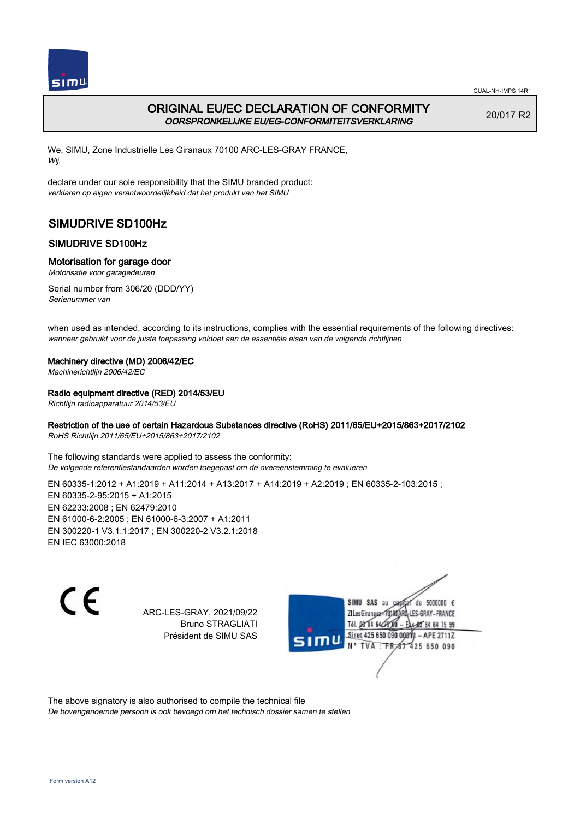

## ORIGINAL EU/EC DECLARATION OF CONFORMITY OORSPRONKELIJKE EU/EG-CONFORMITEITSVERKLARING

20/017 R2

We, SIMU, Zone Industrielle Les Giranaux 70100 ARC-LES-GRAY FRANCE, Wij,

declare under our sole responsibility that the SIMU branded product: verklaren op eigen verantwoordelijkheid dat het produkt van het SIMU

# SIMUDRIVE SD100Hz

## SIMUDRIVE SD100Hz

## Motorisation for garage door

Motorisatie voor garagedeuren

Serial number from 306/20 (DDD/YY) Serienummer van

when used as intended, according to its instructions, complies with the essential requirements of the following directives: wanneer gebruikt voor de juiste toepassing voldoet aan de essentiële eisen van de volgende richtlijnen

### Machinery directive (MD) 2006/42/EC

Machinerichtlijn 2006/42/EC

## Radio equipment directive (RED) 2014/53/EU

Richtlijn radioapparatuur 2014/53/EU

## Restriction of the use of certain Hazardous Substances directive (RoHS) 2011/65/EU+2015/863+2017/2102

RoHS Richtlijn 2011/65/EU+2015/863+2017/2102

The following standards were applied to assess the conformity: De volgende referentiestandaarden worden toegepast om de overeenstemming te evalueren

EN 60335-1:2012 + A1:2019 + A11:2014 + A13:2017 + A14:2019 + A2:2019 ; EN 60335-2-103:2015 ; EN 60335‑2‑95:2015 + A1:2015 EN 62233:2008 ; EN 62479:2010 EN 61000‑6‑2:2005 ; EN 61000‑6‑3:2007 + A1:2011 EN 300220‑1 V3.1.1:2017 ; EN 300220‑2 V3.2.1:2018 EN IEC 63000:2018

 $\epsilon$ 

ARC-LES-GRAY, 2021/09/22 Bruno STRAGLIATI Président de SIMU SAS



The above signatory is also authorised to compile the technical file

De bovengenoemde persoon is ook bevoegd om het technisch dossier samen te stellen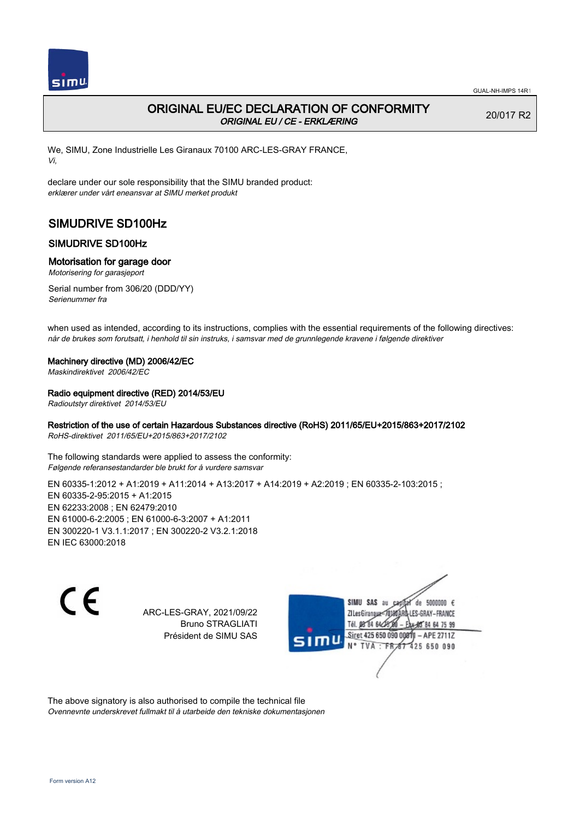

# ORIGINAL EU/EC DECLARATION OF CONFORMITY ORIGINAL EU / CE - ERKLÆRING

20/017 R2

We, SIMU, Zone Industrielle Les Giranaux 70100 ARC-LES-GRAY FRANCE, Vi,

declare under our sole responsibility that the SIMU branded product: erklærer under vårt eneansvar at SIMU merket produkt

# SIMUDRIVE SD100Hz

## SIMUDRIVE SD100Hz

### Motorisation for garage door

Motorisering for garasjeport

Serial number from 306/20 (DDD/YY) Serienummer fra

when used as intended, according to its instructions, complies with the essential requirements of the following directives: når de brukes som forutsatt, i henhold til sin instruks, i samsvar med de grunnlegende kravene i følgende direktiver

### Machinery directive (MD) 2006/42/EC

Maskindirektivet 2006/42/EC

### Radio equipment directive (RED) 2014/53/EU

Radioutstyr direktivet 2014/53/EU

## Restriction of the use of certain Hazardous Substances directive (RoHS) 2011/65/EU+2015/863+2017/2102

RoHS-direktivet 2011/65/EU+2015/863+2017/2102

The following standards were applied to assess the conformity: Følgende referansestandarder ble brukt for å vurdere samsvar

EN 60335-1:2012 + A1:2019 + A11:2014 + A13:2017 + A14:2019 + A2:2019 ; EN 60335-2-103:2015 ; EN 60335‑2‑95:2015 + A1:2015 EN 62233:2008 ; EN 62479:2010 EN 61000‑6‑2:2005 ; EN 61000‑6‑3:2007 + A1:2011 EN 300220‑1 V3.1.1:2017 ; EN 300220‑2 V3.2.1:2018 EN IEC 63000:2018

 $\epsilon$ 

ARC-LES-GRAY, 2021/09/22 Bruno STRAGLIATI Président de SIMU SAS



The above signatory is also authorised to compile the technical file Ovennevnte underskrevet fullmakt til å utarbeide den tekniske dokumentasjonen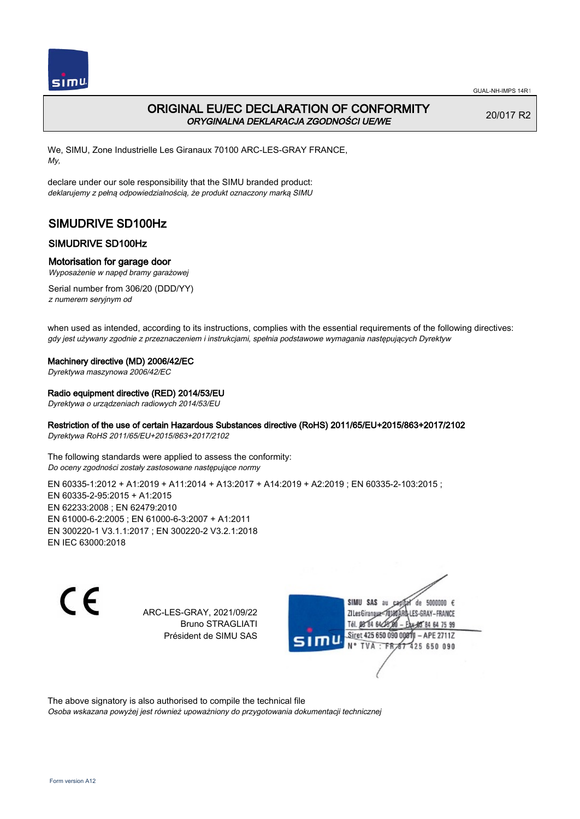

# ORIGINAL EU/EC DECLARATION OF CONFORMITY ORYGINALNA DEKLARACJA ZGODNOŚCI UE/WE

20/017 R2

We, SIMU, Zone Industrielle Les Giranaux 70100 ARC-LES-GRAY FRANCE, My,

declare under our sole responsibility that the SIMU branded product: deklarujemy z pełną odpowiedzialnością, że produkt oznaczony marką SIMU

# SIMUDRIVE SD100Hz

## SIMUDRIVE SD100Hz

### Motorisation for garage door

Wyposażenie w napęd bramy garażowej

Serial number from 306/20 (DDD/YY) z numerem seryjnym od

when used as intended, according to its instructions, complies with the essential requirements of the following directives: gdy jest używany zgodnie z przeznaczeniem i instrukcjami, spełnia podstawowe wymagania następujących Dyrektyw

#### Machinery directive (MD) 2006/42/EC

Dyrektywa maszynowa 2006/42/EC

### Radio equipment directive (RED) 2014/53/EU

Dyrektywa o urządzeniach radiowych 2014/53/EU

## Restriction of the use of certain Hazardous Substances directive (RoHS) 2011/65/EU+2015/863+2017/2102

Dyrektywa RoHS 2011/65/EU+2015/863+2017/2102

The following standards were applied to assess the conformity: Do oceny zgodności zostały zastosowane następujące normy

EN 60335-1:2012 + A1:2019 + A11:2014 + A13:2017 + A14:2019 + A2:2019 ; EN 60335-2-103:2015 ; EN 60335‑2‑95:2015 + A1:2015 EN 62233:2008 ; EN 62479:2010 EN 61000‑6‑2:2005 ; EN 61000‑6‑3:2007 + A1:2011 EN 300220‑1 V3.1.1:2017 ; EN 300220‑2 V3.2.1:2018 EN IEC 63000:2018

C E

ARC-LES-GRAY, 2021/09/22 Bruno STRAGLIATI Président de SIMU SAS



The above signatory is also authorised to compile the technical file

Osoba wskazana powyżej jest również upoważniony do przygotowania dokumentacji technicznej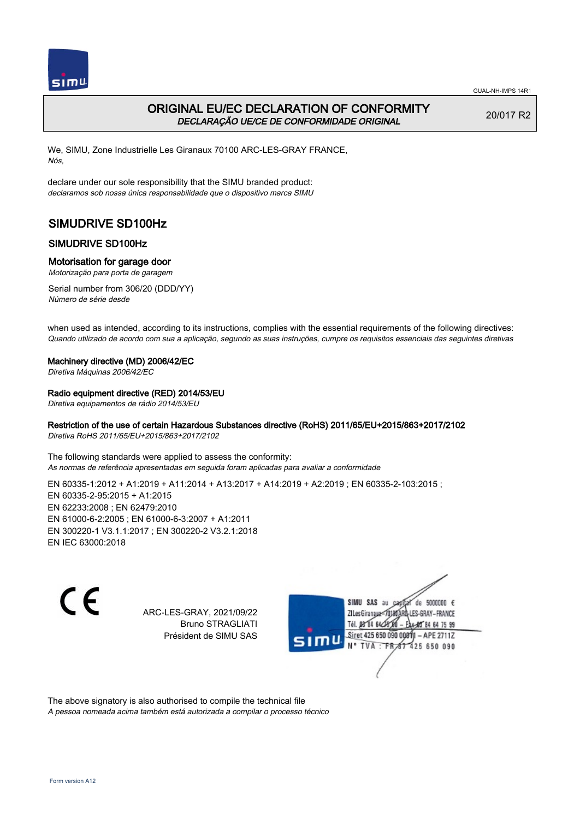

## ORIGINAL EU/EC DECLARATION OF CONFORMITY DECLARAÇÃO UE/CE DE CONFORMIDADE ORIGINAL

20/017 R2

We, SIMU, Zone Industrielle Les Giranaux 70100 ARC-LES-GRAY FRANCE, Nós,

declare under our sole responsibility that the SIMU branded product: declaramos sob nossa única responsabilidade que o dispositivo marca SIMU

# SIMUDRIVE SD100Hz

## SIMUDRIVE SD100Hz

## Motorisation for garage door

Motorização para porta de garagem

Serial number from 306/20 (DDD/YY) Número de série desde

when used as intended, according to its instructions, complies with the essential requirements of the following directives: Quando utilizado de acordo com sua a aplicação, segundo as suas instruções, cumpre os requisitos essenciais das seguintes diretivas

### Machinery directive (MD) 2006/42/EC

Diretiva Máquinas 2006/42/EC

### Radio equipment directive (RED) 2014/53/EU

Diretiva equipamentos de rádio 2014/53/EU

### Restriction of the use of certain Hazardous Substances directive (RoHS) 2011/65/EU+2015/863+2017/2102

Diretiva RoHS 2011/65/EU+2015/863+2017/2102

The following standards were applied to assess the conformity: As normas de referência apresentadas em seguida foram aplicadas para avaliar a conformidade

EN 60335-1:2012 + A1:2019 + A11:2014 + A13:2017 + A14:2019 + A2:2019 ; EN 60335-2-103:2015 ; EN 60335‑2‑95:2015 + A1:2015 EN 62233:2008 ; EN 62479:2010 EN 61000‑6‑2:2005 ; EN 61000‑6‑3:2007 + A1:2011 EN 300220‑1 V3.1.1:2017 ; EN 300220‑2 V3.2.1:2018 EN IEC 63000:2018

 $\epsilon$ 

ARC-LES-GRAY, 2021/09/22 Bruno STRAGLIATI Président de SIMU SAS



The above signatory is also authorised to compile the technical file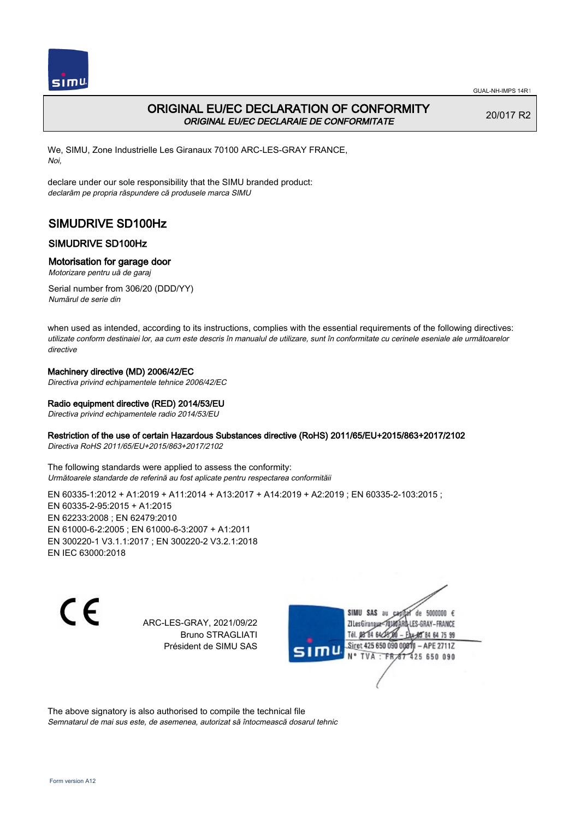

## ORIGINAL EU/EC DECLARATION OF CONFORMITY ORIGINAL EU/EC DECLARAIE DE CONFORMITATE

20/017 R2

We, SIMU, Zone Industrielle Les Giranaux 70100 ARC-LES-GRAY FRANCE, Noi,

declare under our sole responsibility that the SIMU branded product: declarăm pe propria răspundere că produsele marca SIMU

# SIMUDRIVE SD100Hz

## SIMUDRIVE SD100Hz

## Motorisation for garage door

Motorizare pentru uă de garaj

Serial number from 306/20 (DDD/YY) Numărul de serie din

when used as intended, according to its instructions, complies with the essential requirements of the following directives: utilizate conform destinaiei lor, aa cum este descris în manualul de utilizare, sunt în conformitate cu cerinele eseniale ale următoarelor directive

## Machinery directive (MD) 2006/42/EC

Directiva privind echipamentele tehnice 2006/42/EC

### Radio equipment directive (RED) 2014/53/EU

Directiva privind echipamentele radio 2014/53/EU

### Restriction of the use of certain Hazardous Substances directive (RoHS) 2011/65/EU+2015/863+2017/2102

Directiva RoHS 2011/65/EU+2015/863+2017/2102

The following standards were applied to assess the conformity: Următoarele standarde de referină au fost aplicate pentru respectarea conformităii

EN 60335‑1:2012 + A1:2019 + A11:2014 + A13:2017 + A14:2019 + A2:2019 ; EN 60335‑2‑103:2015 ; EN 60335‑2‑95:2015 + A1:2015 EN 62233:2008 ; EN 62479:2010 EN 61000‑6‑2:2005 ; EN 61000‑6‑3:2007 + A1:2011 EN 300220‑1 V3.1.1:2017 ; EN 300220‑2 V3.2.1:2018 EN IEC 63000:2018

C E

ARC-LES-GRAY, 2021/09/22 Bruno STRAGLIATI Président de SIMU SAS

SIMU SAS au de 5000000  $\epsilon$ ZI Les Giranaux</br/>1018 LES-GRAY-FRANCE Tél. 08 84 64 24 64 75 99 Siret 425 650 090 0081 - APE 2711Z 425 650 090 TVA: FR

The above signatory is also authorised to compile the technical file Semnatarul de mai sus este, de asemenea, autorizat să întocmească dosarul tehnic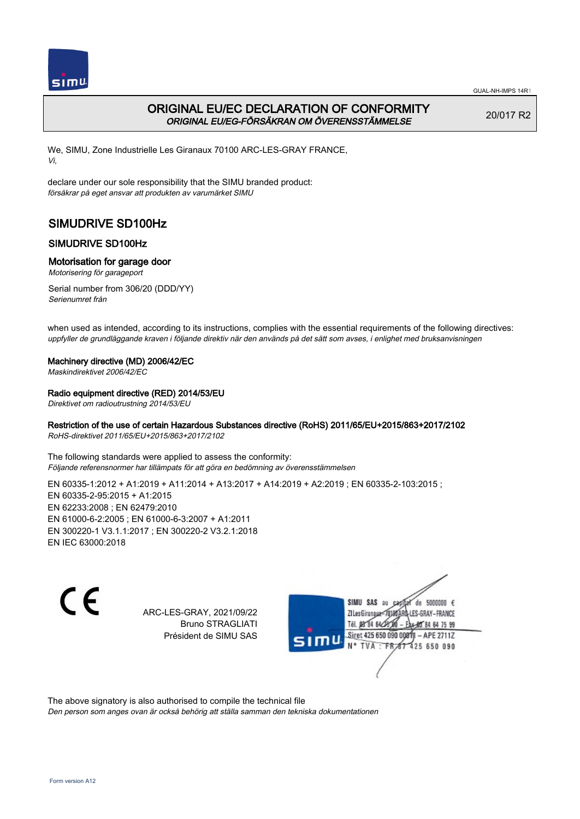

# ORIGINAL EU/EC DECLARATION OF CONFORMITY ORIGINAL EU/EG-FÖRSÄKRAN OM ÖVERENSSTÄMMELSE

20/017 R2

We, SIMU, Zone Industrielle Les Giranaux 70100 ARC-LES-GRAY FRANCE, Vi,

declare under our sole responsibility that the SIMU branded product: försäkrar på eget ansvar att produkten av varumärket SIMU

# SIMUDRIVE SD100Hz

## SIMUDRIVE SD100Hz

### Motorisation for garage door

Motorisering för garageport

Serial number from 306/20 (DDD/YY) Serienumret från

when used as intended, according to its instructions, complies with the essential requirements of the following directives: uppfyller de grundläggande kraven i följande direktiv när den används på det sätt som avses, i enlighet med bruksanvisningen

#### Machinery directive (MD) 2006/42/EC

Maskindirektivet 2006/42/EC

### Radio equipment directive (RED) 2014/53/EU

Direktivet om radioutrustning 2014/53/EU

## Restriction of the use of certain Hazardous Substances directive (RoHS) 2011/65/EU+2015/863+2017/2102

RoHS-direktivet 2011/65/EU+2015/863+2017/2102

The following standards were applied to assess the conformity: Följande referensnormer har tillämpats för att göra en bedömning av överensstämmelsen

EN 60335-1:2012 + A1:2019 + A11:2014 + A13:2017 + A14:2019 + A2:2019 ; EN 60335-2-103:2015 ; EN 60335‑2‑95:2015 + A1:2015 EN 62233:2008 ; EN 62479:2010 EN 61000‑6‑2:2005 ; EN 61000‑6‑3:2007 + A1:2011 EN 300220‑1 V3.1.1:2017 ; EN 300220‑2 V3.2.1:2018 EN IEC 63000:2018

 $\epsilon$ 

ARC-LES-GRAY, 2021/09/22 Bruno STRAGLIATI Président de SIMU SAS



The above signatory is also authorised to compile the technical file

Den person som anges ovan är också behörig att ställa samman den tekniska dokumentationen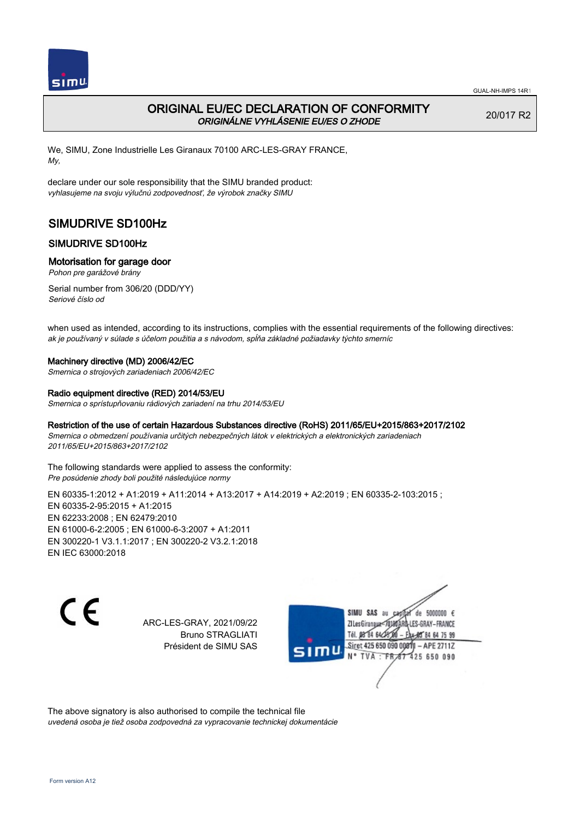

# ORIGINAL EU/EC DECLARATION OF CONFORMITY ORIGINÁLNE VYHLÁSENIE EU/ES O ZHODE

20/017 R2

We, SIMU, Zone Industrielle Les Giranaux 70100 ARC-LES-GRAY FRANCE, My,

declare under our sole responsibility that the SIMU branded product: vyhlasujeme na svoju výlučnú zodpovednosť, že výrobok značky SIMU

# SIMUDRIVE SD100Hz

## SIMUDRIVE SD100Hz

### Motorisation for garage door

Pohon pre garážové brány

Serial number from 306/20 (DDD/YY) Seriové číslo od

when used as intended, according to its instructions, complies with the essential requirements of the following directives: ak je používaný v súlade s účelom použitia a s návodom, spĺňa základné požiadavky týchto smerníc

#### Machinery directive (MD) 2006/42/EC

Smernica o strojových zariadeniach 2006/42/EC

#### Radio equipment directive (RED) 2014/53/EU

Smernica o sprístupňovaniu rádiových zariadení na trhu 2014/53/EU

#### Restriction of the use of certain Hazardous Substances directive (RoHS) 2011/65/EU+2015/863+2017/2102

Smernica o obmedzení používania určitých nebezpečných látok v elektrických a elektronických zariadeniach 2011/65/EU+2015/863+2017/2102

The following standards were applied to assess the conformity: Pre posúdenie zhody boli použité následujúce normy

EN 60335‑1:2012 + A1:2019 + A11:2014 + A13:2017 + A14:2019 + A2:2019 ; EN 60335‑2‑103:2015 ; EN 60335‑2‑95:2015 + A1:2015 EN 62233:2008 ; EN 62479:2010 EN 61000‑6‑2:2005 ; EN 61000‑6‑3:2007 + A1:2011 EN 300220‑1 V3.1.1:2017 ; EN 300220‑2 V3.2.1:2018 EN IEC 63000:2018

C E

ARC-LES-GRAY, 2021/09/22 Bruno STRAGLIATI Président de SIMU SAS

de 5000000  $\epsilon$ SIMU SAS au ZI Les Giranaux-70180 LES-GRAY-FRANCE Tél. 08 84 64 24 64 75 99 Siret 425 650 090 0081 - APE 2711Z 425 650 090 TVA: FR

The above signatory is also authorised to compile the technical file uvedená osoba je tiež osoba zodpovedná za vypracovanie technickej dokumentácie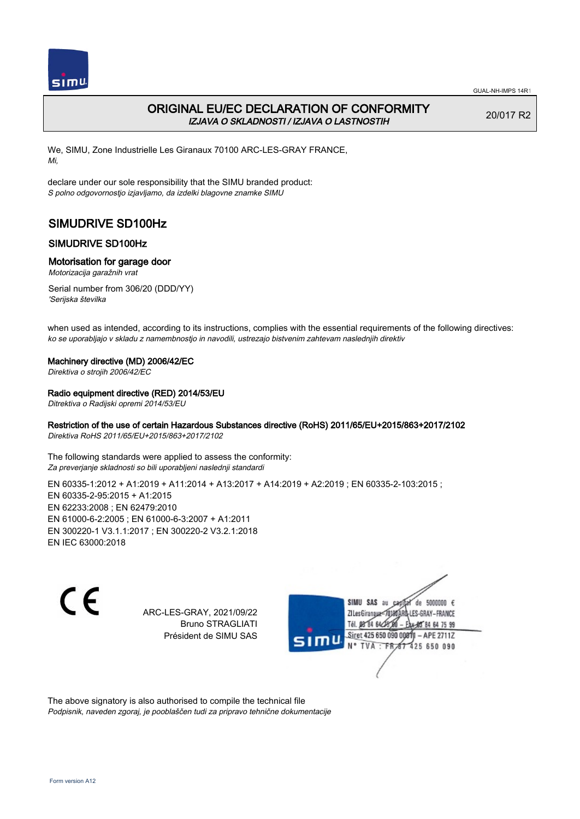

# ORIGINAL EU/EC DECLARATION OF CONFORMITY IZJAVA O SKLADNOSTI / IZJAVA O LASTNOSTIH

20/017 R2

We, SIMU, Zone Industrielle Les Giranaux 70100 ARC-LES-GRAY FRANCE, Mi,

declare under our sole responsibility that the SIMU branded product: S polno odgovornostjo izjavljamo, da izdelki blagovne znamke SIMU

# SIMUDRIVE SD100Hz

## SIMUDRIVE SD100Hz

### Motorisation for garage door

Motorizacija garažnih vrat

Serial number from 306/20 (DDD/YY) 'Serijska številka

when used as intended, according to its instructions, complies with the essential requirements of the following directives: ko se uporabljajo v skladu z namembnostjo in navodili, ustrezajo bistvenim zahtevam naslednjih direktiv

### Machinery directive (MD) 2006/42/EC

Direktiva o strojih 2006/42/EC

### Radio equipment directive (RED) 2014/53/EU

Ditrektiva o Radijski opremi 2014/53/EU

## Restriction of the use of certain Hazardous Substances directive (RoHS) 2011/65/EU+2015/863+2017/2102

Direktiva RoHS 2011/65/EU+2015/863+2017/2102

The following standards were applied to assess the conformity: Za preverjanje skladnosti so bili uporabljeni naslednji standardi

EN 60335-1:2012 + A1:2019 + A11:2014 + A13:2017 + A14:2019 + A2:2019 ; EN 60335-2-103:2015 ; EN 60335‑2‑95:2015 + A1:2015 EN 62233:2008 ; EN 62479:2010 EN 61000‑6‑2:2005 ; EN 61000‑6‑3:2007 + A1:2011 EN 300220‑1 V3.1.1:2017 ; EN 300220‑2 V3.2.1:2018 EN IEC 63000:2018

 $\epsilon$ 

ARC-LES-GRAY, 2021/09/22 Bruno STRAGLIATI Président de SIMU SAS



The above signatory is also authorised to compile the technical file Podpisnik, naveden zgoraj, je pooblaščen tudi za pripravo tehnične dokumentacije